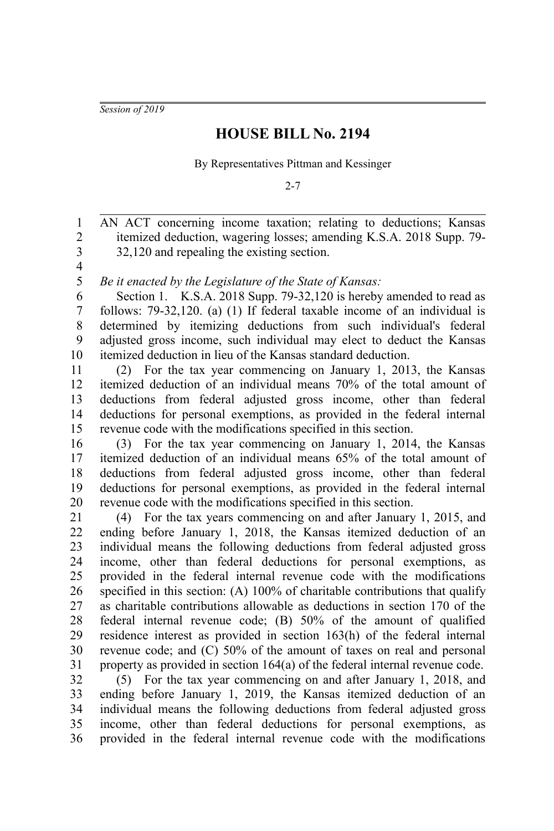*Session of 2019*

## **HOUSE BILL No. 2194**

By Representatives Pittman and Kessinger

 $2 - 7$ 

AN ACT concerning income taxation; relating to deductions; Kansas itemized deduction, wagering losses; amending K.S.A. 2018 Supp. 79- 32,120 and repealing the existing section. 1 2 3

4 5

*Be it enacted by the Legislature of the State of Kansas:*

Section 1. K.S.A. 2018 Supp. 79-32,120 is hereby amended to read as follows: 79-32,120. (a) (1) If federal taxable income of an individual is determined by itemizing deductions from such individual's federal adjusted gross income, such individual may elect to deduct the Kansas itemized deduction in lieu of the Kansas standard deduction. 6 7 8 9 10

(2) For the tax year commencing on January 1, 2013, the Kansas itemized deduction of an individual means 70% of the total amount of deductions from federal adjusted gross income, other than federal deductions for personal exemptions, as provided in the federal internal revenue code with the modifications specified in this section. 11 12 13 14 15

(3) For the tax year commencing on January 1, 2014, the Kansas itemized deduction of an individual means 65% of the total amount of deductions from federal adjusted gross income, other than federal deductions for personal exemptions, as provided in the federal internal revenue code with the modifications specified in this section. 16 17 18 19 20

(4) For the tax years commencing on and after January 1, 2015, and ending before January 1, 2018, the Kansas itemized deduction of an individual means the following deductions from federal adjusted gross income, other than federal deductions for personal exemptions, as provided in the federal internal revenue code with the modifications specified in this section: (A) 100% of charitable contributions that qualify as charitable contributions allowable as deductions in section 170 of the federal internal revenue code; (B) 50% of the amount of qualified residence interest as provided in section 163(h) of the federal internal revenue code; and (C) 50% of the amount of taxes on real and personal property as provided in section 164(a) of the federal internal revenue code. 21 22 23 24 25 26 27 28 29 30 31

(5) For the tax year commencing on and after January 1, 2018, and ending before January 1, 2019, the Kansas itemized deduction of an individual means the following deductions from federal adjusted gross income, other than federal deductions for personal exemptions, as provided in the federal internal revenue code with the modifications 32 33 34 35 36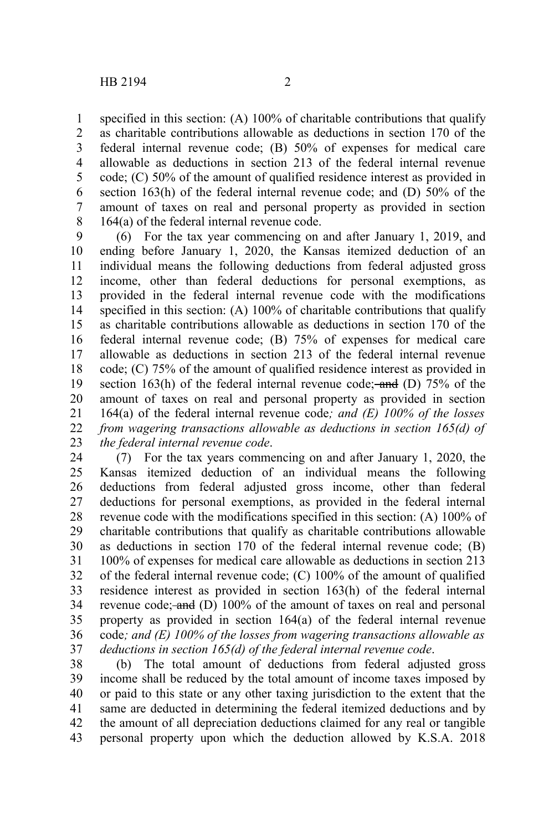specified in this section: (A) 100% of charitable contributions that qualify as charitable contributions allowable as deductions in section 170 of the federal internal revenue code; (B) 50% of expenses for medical care allowable as deductions in section 213 of the federal internal revenue code; (C) 50% of the amount of qualified residence interest as provided in section 163(h) of the federal internal revenue code; and (D) 50% of the amount of taxes on real and personal property as provided in section 164(a) of the federal internal revenue code. 1 2 3 4 5 6 7 8

(6) For the tax year commencing on and after January 1, 2019, and ending before January 1, 2020, the Kansas itemized deduction of an individual means the following deductions from federal adjusted gross income, other than federal deductions for personal exemptions, as provided in the federal internal revenue code with the modifications specified in this section: (A) 100% of charitable contributions that qualify as charitable contributions allowable as deductions in section 170 of the federal internal revenue code; (B) 75% of expenses for medical care allowable as deductions in section 213 of the federal internal revenue code; (C) 75% of the amount of qualified residence interest as provided in section 163(h) of the federal internal revenue code; and (D)  $75\%$  of the amount of taxes on real and personal property as provided in section 164(a) of the federal internal revenue code*; and (E) 100% of the losses from wagering transactions allowable as deductions in section 165(d) of the federal internal revenue code*. 9 10 11 12 13 14 15 16 17 18 19 20 21 22 23

(7) For the tax years commencing on and after January 1, 2020, the Kansas itemized deduction of an individual means the following deductions from federal adjusted gross income, other than federal deductions for personal exemptions, as provided in the federal internal revenue code with the modifications specified in this section: (A) 100% of charitable contributions that qualify as charitable contributions allowable as deductions in section 170 of the federal internal revenue code; (B) 100% of expenses for medical care allowable as deductions in section 213 of the federal internal revenue code; (C) 100% of the amount of qualified residence interest as provided in section 163(h) of the federal internal revenue code; and (D) 100% of the amount of taxes on real and personal property as provided in section 164(a) of the federal internal revenue code*; and (E) 100% of the losses from wagering transactions allowable as deductions in section 165(d) of the federal internal revenue code*. 24 25 26 27 28 29 30 31 32 33 34 35 36 37

(b) The total amount of deductions from federal adjusted gross income shall be reduced by the total amount of income taxes imposed by or paid to this state or any other taxing jurisdiction to the extent that the same are deducted in determining the federal itemized deductions and by the amount of all depreciation deductions claimed for any real or tangible personal property upon which the deduction allowed by K.S.A. 2018 38 39 40 41 42 43